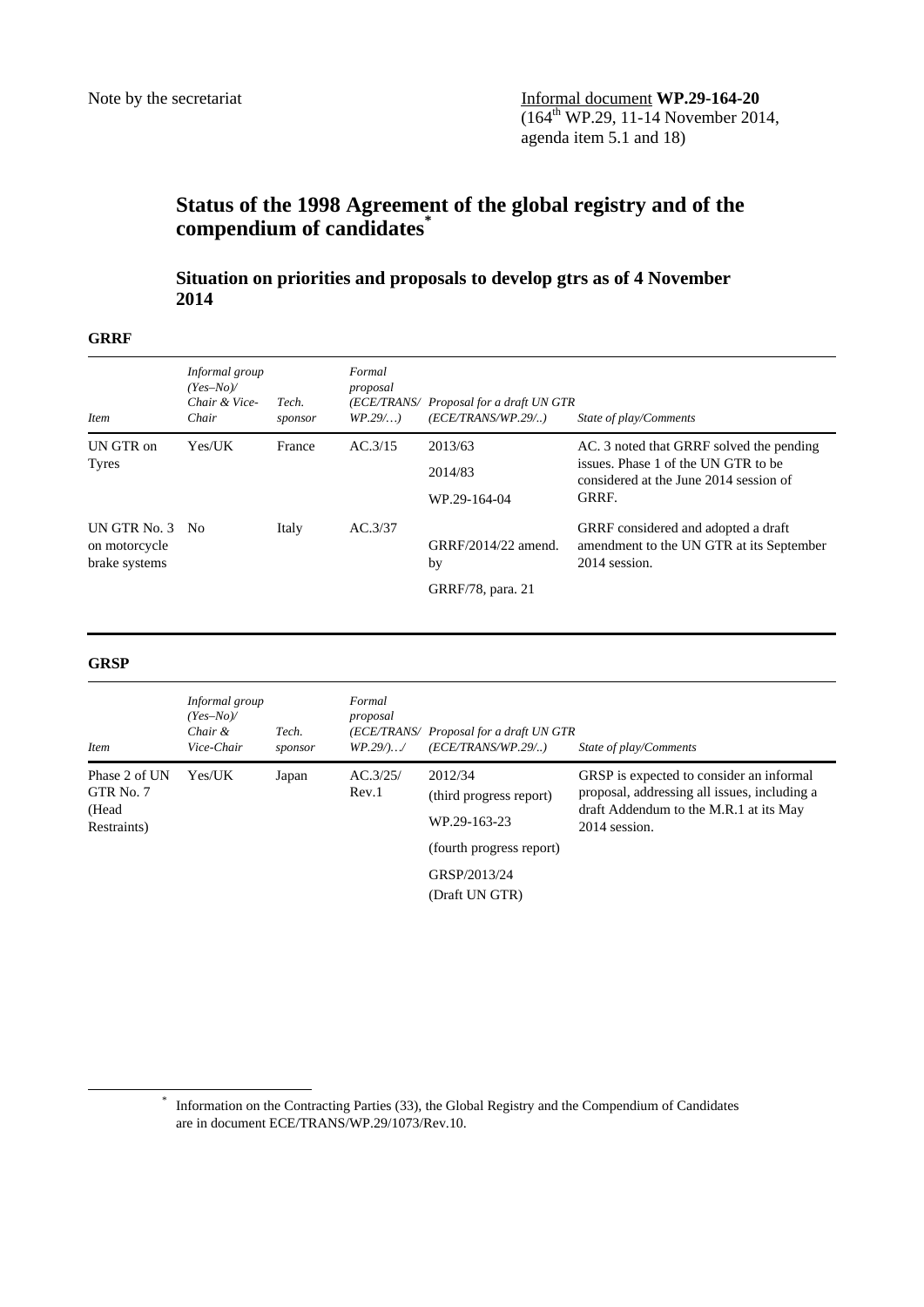# **Status of the 1998 Agreement of the global registry and of the compendium of candidates\***

 **Situation on priorities and proposals to develop gtrs as of 4 November 2014** 

## **GRRF**

| <i>Item</i>                                       | Informal group<br>$(Yes-No)$<br>Chair & Vice-<br>Chair | Tech.<br>sponsor | Formal<br>proposal<br>$WP.29/$ ) | (ECE/TRANS/ Proposal for a draft UN GTR<br>(ECE/TRANS/WP.29/) | State of play/Comments                                                                           |
|---------------------------------------------------|--------------------------------------------------------|------------------|----------------------------------|---------------------------------------------------------------|--------------------------------------------------------------------------------------------------|
| UN GTR on                                         | Yes/UK                                                 | France           | AC.3/15                          | 2013/63                                                       | AC. 3 noted that GRRF solved the pending                                                         |
| <b>Tyres</b>                                      |                                                        |                  |                                  | 2014/83                                                       | issues. Phase 1 of the UN GTR to be<br>considered at the June 2014 session of                    |
|                                                   |                                                        |                  |                                  | WP.29-164-04                                                  | GRRF.                                                                                            |
| UN GTR No. 3 No<br>on motorcycle<br>brake systems |                                                        | Italy            | AC.3/37                          | GRRF/2014/22 amend.<br>by<br>GRRF/78, para. 21                | GRRF considered and adopted a draft<br>amendment to the UN GTR at its September<br>2014 session. |

#### **GRSP**

| <i>Item</i>                                        | Informal group<br>$(Yes-No)$<br>Chair &<br>Vice-Chair | Tech.<br>sponsor | Formal<br>proposal<br>$WP.29/$ / | (ECE/TRANS/ Proposal for a draft UN GTR<br>(ECE/TRANS/WP.29/)                  | State of play/Comments                                                                                                                              |
|----------------------------------------------------|-------------------------------------------------------|------------------|----------------------------------|--------------------------------------------------------------------------------|-----------------------------------------------------------------------------------------------------------------------------------------------------|
| Phase 2 of UN<br>GTR No. 7<br>(Head<br>Restraints) | Yes/UK                                                | Japan            | AC.3/25/<br>Rev.1                | 2012/34<br>(third progress report)<br>WP.29-163-23<br>(fourth progress report) | GRSP is expected to consider an informal<br>proposal, addressing all issues, including a<br>draft Addendum to the M.R.1 at its May<br>2014 session. |
|                                                    |                                                       |                  |                                  | GRSP/2013/24<br>(Draft UN GTR)                                                 |                                                                                                                                                     |

 <sup>\*</sup> Information on the Contracting Parties (33), the Global Registry and the Compendium of Candidates are in document ECE/TRANS/WP.29/1073/Rev.10.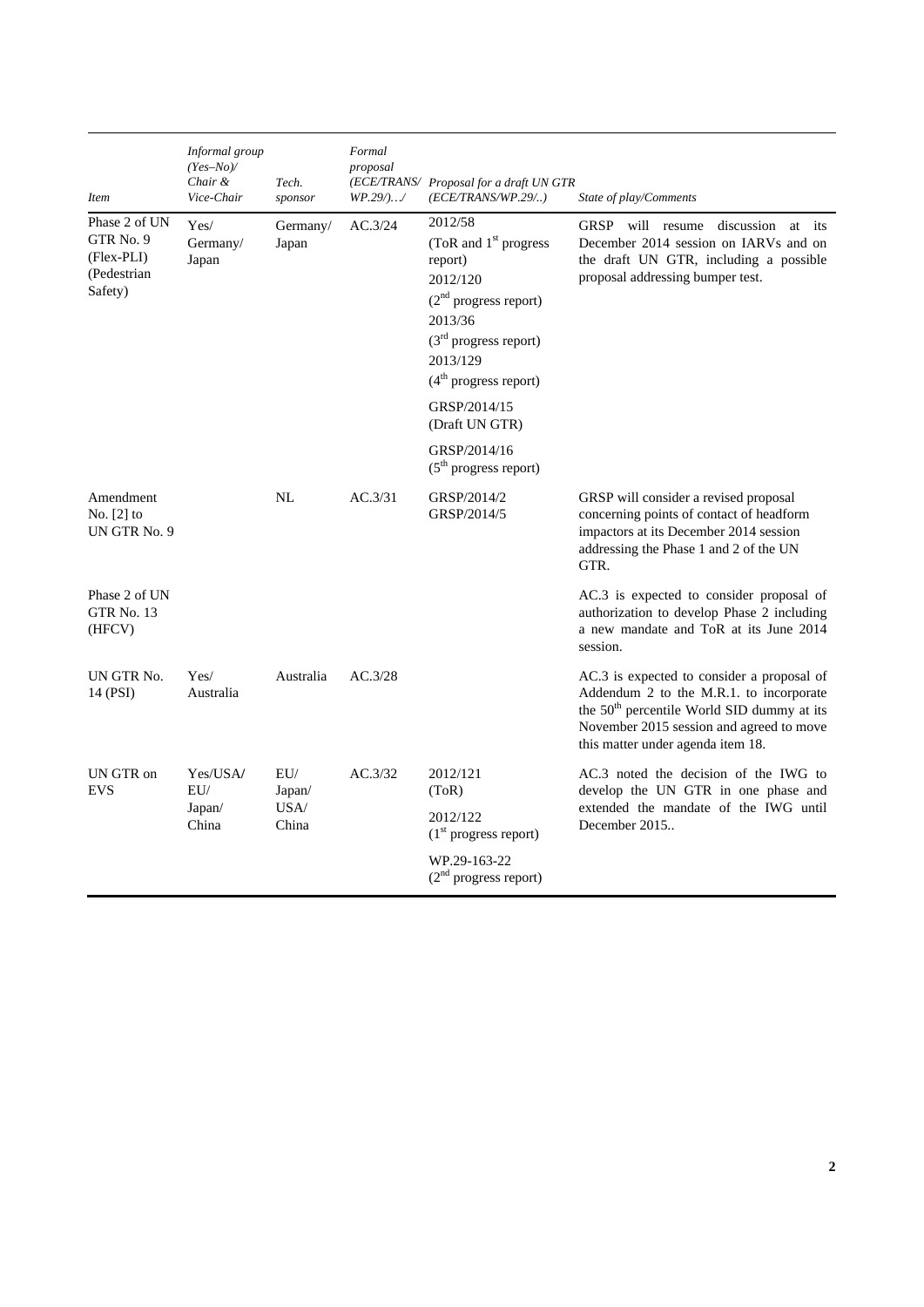| <b>Item</b>                                                                    | Informal group<br>$(Yes-No)$<br>Chair &<br>Vice-Chair | Tech.<br>sponsor               | Formal<br>proposal<br>$WP.29/$ / | (ECE/TRANS/ Proposal for a draft UN GTR<br>(ECE/TRANS/WP.29/)                                                                                                                                                 | State of play/Comments                                                                                                                                                                                                           |
|--------------------------------------------------------------------------------|-------------------------------------------------------|--------------------------------|----------------------------------|---------------------------------------------------------------------------------------------------------------------------------------------------------------------------------------------------------------|----------------------------------------------------------------------------------------------------------------------------------------------------------------------------------------------------------------------------------|
| Phase 2 of UN<br>GTR <sub>No.</sub> 9<br>(Flex-PLI)<br>(Pedestrian)<br>Safety) | Yes/<br>Germany/<br>Japan                             | Germany/<br>Japan              | AC.3/24                          | 2012/58<br>(ToR and 1 <sup>st</sup> progress<br>report)<br>2012/120<br>$(2nd$ progress report)<br>2013/36<br>$(3rd$ progress report)<br>2013/129<br>$(4th$ progress report)<br>GRSP/2014/15<br>(Draft UN GTR) | GRSP will resume discussion<br>at<br>its<br>December 2014 session on IARVs and on<br>the draft UN GTR, including a possible<br>proposal addressing bumper test.                                                                  |
|                                                                                |                                                       |                                |                                  | GRSP/2014/16<br>$(5th$ progress report)                                                                                                                                                                       |                                                                                                                                                                                                                                  |
| Amendment<br>No. $[2]$ to<br>UN GTR No. 9                                      |                                                       | NL                             | AC.3/31                          | GRSP/2014/2<br>GRSP/2014/5                                                                                                                                                                                    | GRSP will consider a revised proposal<br>concerning points of contact of headform<br>impactors at its December 2014 session<br>addressing the Phase 1 and 2 of the UN<br>GTR.                                                    |
| Phase 2 of UN<br>GTR No. 13<br>(HFCV)                                          |                                                       |                                |                                  |                                                                                                                                                                                                               | AC.3 is expected to consider proposal of<br>authorization to develop Phase 2 including<br>a new mandate and ToR at its June 2014<br>session.                                                                                     |
| UN GTR No.<br>14 (PSI)                                                         | Yes/<br>Australia                                     | Australia                      | AC.3/28                          |                                                                                                                                                                                                               | AC.3 is expected to consider a proposal of<br>Addendum 2 to the M.R.1. to incorporate<br>the 50 <sup>th</sup> percentile World SID dummy at its<br>November 2015 session and agreed to move<br>this matter under agenda item 18. |
| UN GTR on<br><b>EVS</b>                                                        | Yes/USA/<br>EU/<br>Japan/<br>China                    | EU/<br>Japan/<br>USA/<br>China | AC.3/32                          | 2012/121<br>(ToR)                                                                                                                                                                                             | AC.3 noted the decision of the IWG to<br>develop the UN GTR in one phase and                                                                                                                                                     |
|                                                                                |                                                       |                                |                                  | 2012/122<br>$(1st$ progress report)                                                                                                                                                                           | extended the mandate of the IWG until<br>December 2015                                                                                                                                                                           |
|                                                                                |                                                       |                                |                                  | WP.29-163-22<br>$(2nd$ progress report)                                                                                                                                                                       |                                                                                                                                                                                                                                  |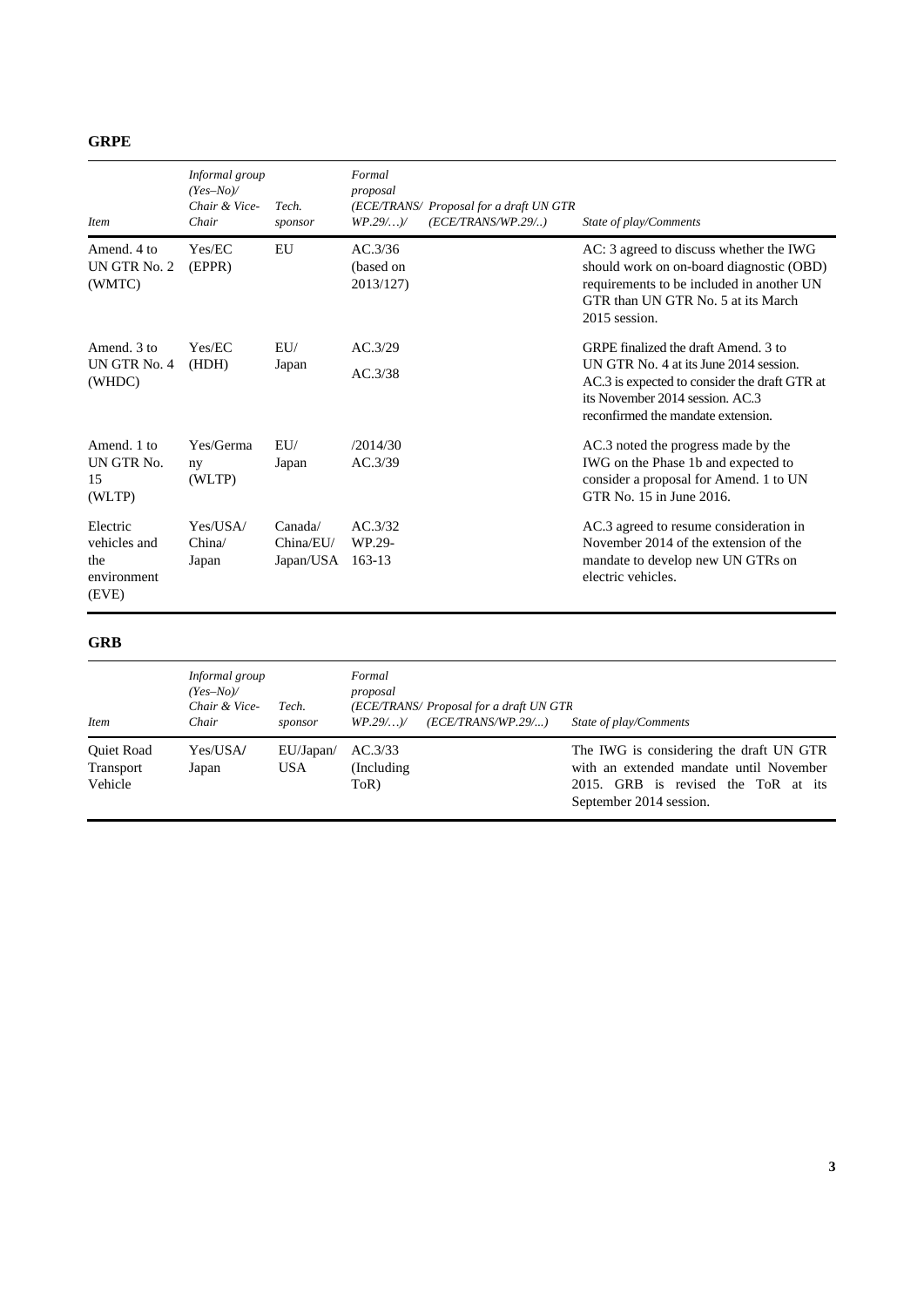| ×<br>v |
|--------|
|--------|

| <i>Item</i>                                             | Informal group<br>$(Yes-No)$<br>Chair & Vice-<br>Chair | Tech.<br>sponsor                  | Formal<br>proposal<br>(ECE/TRANS/ Proposal for a draft UN GTR<br>(ECE/TRANS/WP.29/)<br>$WP.29/$ ) | State of play/Comments                                                                                                                                                                                   |
|---------------------------------------------------------|--------------------------------------------------------|-----------------------------------|---------------------------------------------------------------------------------------------------|----------------------------------------------------------------------------------------------------------------------------------------------------------------------------------------------------------|
| Amend, 4 to<br>UN GTR No. 2<br>(WMTC)                   | Yes/EC<br>(EPPR)                                       | EU                                | AC.3/36<br>(based on<br>2013/127)                                                                 | AC: 3 agreed to discuss whether the IWG<br>should work on on-board diagnostic (OBD)<br>requirements to be included in another UN<br>GTR than UN GTR No. 5 at its March<br>2015 session.                  |
| Amend. 3 to<br>UN GTR No. 4<br>(WHDC)                   | Yes/EC<br>(HDH)                                        | EU/<br>Japan                      | AC.3/29<br>AC.3/38                                                                                | GRPE finalized the draft Amend. 3 to<br>UN GTR No. 4 at its June 2014 session.<br>AC.3 is expected to consider the draft GTR at<br>its November 2014 session. AC.3<br>reconfirmed the mandate extension. |
| Amend. 1 to<br>UN GTR No.<br>15<br>(WLTP)               | Yes/Germa<br>ny<br>(WLTP)                              | EUI/<br>Japan                     | /2014/30<br>AC.3/39                                                                               | AC.3 noted the progress made by the<br>IWG on the Phase 1b and expected to<br>consider a proposal for Amend. 1 to UN<br>GTR No. 15 in June 2016.                                                         |
| Electric<br>vehicles and<br>the<br>environment<br>(EVE) | Yes/USA/<br>China/<br>Japan                            | Canada/<br>China/EU/<br>Japan/USA | AC.3/32<br>WP.29-<br>163-13                                                                       | AC.3 agreed to resume consideration in<br>November 2014 of the extension of the<br>mandate to develop new UN GTRs on<br>electric vehicles.                                                               |

## **GRB**

| <i>Item</i>                                      | Informal group<br>$(Yes-No)$<br>Chair & Vice-<br>Chair | Tech.<br>sponsor        | Formal<br>proposal<br>(ECE/TRANS/ Proposal for a draft UN GTR<br>(ECE/TRANS/WP.29/)<br>$WP.29/$ )/ | State of play/Comments                                                                                                                               |
|--------------------------------------------------|--------------------------------------------------------|-------------------------|----------------------------------------------------------------------------------------------------|------------------------------------------------------------------------------------------------------------------------------------------------------|
| <b>Ouiet Road</b><br><b>Transport</b><br>Vehicle | Yes/USA/<br>Japan                                      | EU/Japan/<br><b>USA</b> | AC.3/33<br>(Including)<br>ToR)                                                                     | The IWG is considering the draft UN GTR<br>with an extended mandate until November<br>2015. GRB is revised the ToR at its<br>September 2014 session. |